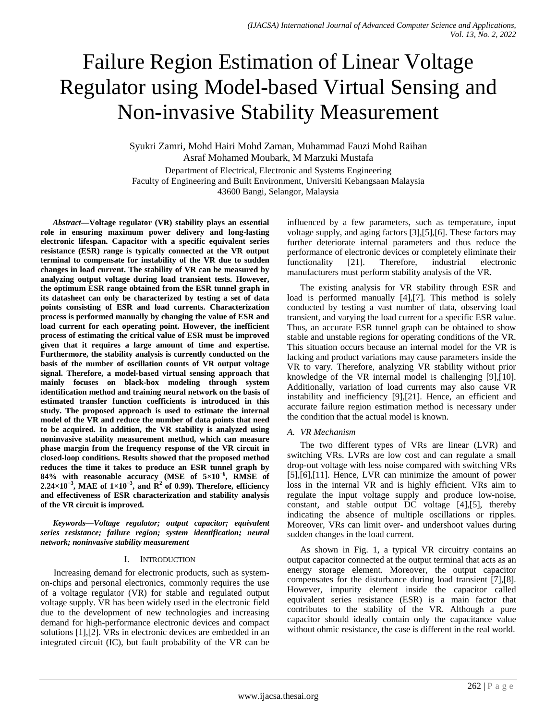# Failure Region Estimation of Linear Voltage Regulator using Model-based Virtual Sensing and Non-invasive Stability Measurement

Syukri Zamri, Mohd Hairi Mohd Zaman, Muhammad Fauzi Mohd Raihan Asraf Mohamed Moubark, M Marzuki Mustafa

Department of Electrical, Electronic and Systems Engineering Faculty of Engineering and Built Environment, Universiti Kebangsaan Malaysia 43600 Bangi, Selangor, Malaysia

*Abstract***—Voltage regulator (VR) stability plays an essential role in ensuring maximum power delivery and long-lasting electronic lifespan. Capacitor with a specific equivalent series resistance (ESR) range is typically connected at the VR output terminal to compensate for instability of the VR due to sudden changes in load current. The stability of VR can be measured by analyzing output voltage during load transient tests. However, the optimum ESR range obtained from the ESR tunnel graph in its datasheet can only be characterized by testing a set of data points consisting of ESR and load currents. Characterization process is performed manually by changing the value of ESR and load current for each operating point. However, the inefficient process of estimating the critical value of ESR must be improved given that it requires a large amount of time and expertise. Furthermore, the stability analysis is currently conducted on the basis of the number of oscillation counts of VR output voltage signal. Therefore, a model-based virtual sensing approach that mainly focuses on black-box modeling through system identification method and training neural network on the basis of estimated transfer function coefficients is introduced in this study. The proposed approach is used to estimate the internal model of the VR and reduce the number of data points that need to be acquired. In addition, the VR stability is analyzed using noninvasive stability measurement method, which can measure phase margin from the frequency response of the VR circuit in closed-loop conditions. Results showed that the proposed method reduces the time it takes to produce an ESR tunnel graph by 84% with reasonable accuracy (MSE of 5×10<sup>−</sup><sup>6</sup> , RMSE of 2.24×10<sup>−</sup><sup>3</sup> , MAE of 1×10<sup>−</sup><sup>3</sup> , and R2 of 0.99). Therefore, efficiency and effectiveness of ESR characterization and stability analysis of the VR circuit is improved.**

*Keywords—Voltage regulator; output capacitor; equivalent series resistance; failure region; system identification; neural network; noninvasive stability measurement*

#### I. INTRODUCTION

Increasing demand for electronic products, such as systemon-chips and personal electronics, commonly requires the use of a voltage regulator (VR) for stable and regulated output voltage supply. VR has been widely used in the electronic field due to the development of new technologies and increasing demand for high-performance electronic devices and compact solutions [1],[2]. VRs in electronic devices are embedded in an integrated circuit (IC), but fault probability of the VR can be influenced by a few parameters, such as temperature, input voltage supply, and aging factors [3],[5],[6]. These factors may further deteriorate internal parameters and thus reduce the performance of electronic devices or completely eliminate their functionality [21]. Therefore, industrial electronic manufacturers must perform stability analysis of the VR.

The existing analysis for VR stability through ESR and load is performed manually [4],[7]. This method is solely conducted by testing a vast number of data, observing load transient, and varying the load current for a specific ESR value. Thus, an accurate ESR tunnel graph can be obtained to show stable and unstable regions for operating conditions of the VR. This situation occurs because an internal model for the VR is lacking and product variations may cause parameters inside the VR to vary. Therefore, analyzing VR stability without prior knowledge of the VR internal model is challenging [9],[10]. Additionally, variation of load currents may also cause VR instability and inefficiency [9],[21]. Hence, an efficient and accurate failure region estimation method is necessary under the condition that the actual model is known.

## *A. VR Mechanism*

The two different types of VRs are linear (LVR) and switching VRs. LVRs are low cost and can regulate a small drop-out voltage with less noise compared with switching VRs [5],[6],[11]. Hence, LVR can minimize the amount of power loss in the internal VR and is highly efficient. VRs aim to regulate the input voltage supply and produce low-noise, constant, and stable output DC voltage [4],[5], thereby indicating the absence of multiple oscillations or ripples. Moreover, VRs can limit over- and undershoot values during sudden changes in the load current.

As shown in Fig. 1, a typical VR circuitry contains an output capacitor connected at the output terminal that acts as an energy storage element. Moreover, the output capacitor compensates for the disturbance during load transient [7],[8]. However, impurity element inside the capacitor called equivalent series resistance (ESR) is a main factor that contributes to the stability of the VR. Although a pure capacitor should ideally contain only the capacitance value without ohmic resistance, the case is different in the real world.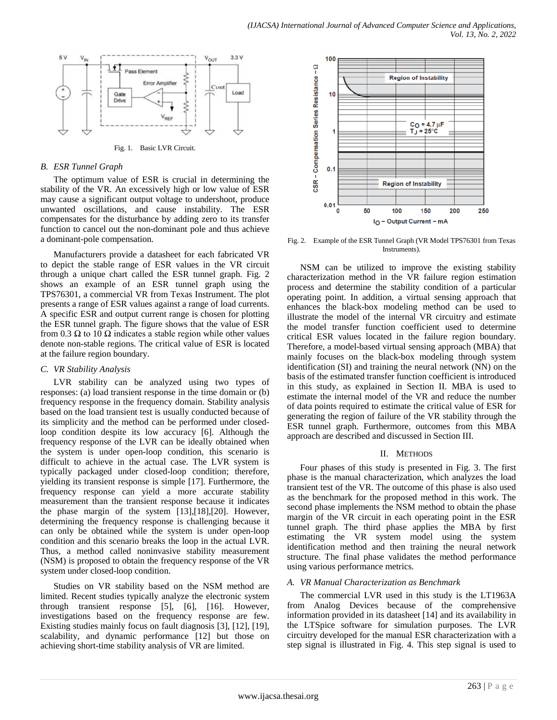

Fig. 1. Basic LVR Circuit.

#### *B. ESR Tunnel Graph*

The optimum value of ESR is crucial in determining the stability of the VR. An excessively high or low value of ESR may cause a significant output voltage to undershoot, produce unwanted oscillations, and cause instability. The ESR compensates for the disturbance by adding zero to its transfer function to cancel out the non-dominant pole and thus achieve a dominant-pole compensation.

Manufacturers provide a datasheet for each fabricated VR to depict the stable range of ESR values in the VR circuit through a unique chart called the ESR tunnel graph. Fig. 2 shows an example of an ESR tunnel graph using the TPS76301, a commercial VR from Texas Instrument. The plot presents a range of ESR values against a range of load currents. A specific ESR and output current range is chosen for plotting the ESR tunnel graph. The figure shows that the value of ESR from 0.3  $\Omega$  to 10  $\Omega$  indicates a stable region while other values denote non-stable regions. The critical value of ESR is located at the failure region boundary.

## *C. VR Stability Analysis*

LVR stability can be analyzed using two types of responses: (a) load transient response in the time domain or (b) frequency response in the frequency domain. Stability analysis based on the load transient test is usually conducted because of its simplicity and the method can be performed under closedloop condition despite its low accuracy [6]. Although the frequency response of the LVR can be ideally obtained when the system is under open-loop condition, this scenario is difficult to achieve in the actual case. The LVR system is typically packaged under closed-loop condition; therefore, yielding its transient response is simple [17]. Furthermore, the frequency response can yield a more accurate stability measurement than the transient response because it indicates the phase margin of the system [13],[18],[20]. However, determining the frequency response is challenging because it can only be obtained while the system is under open-loop condition and this scenario breaks the loop in the actual LVR. Thus, a method called noninvasive stability measurement (NSM) is proposed to obtain the frequency response of the VR system under closed-loop condition.

Studies on VR stability based on the NSM method are limited. Recent studies typically analyze the electronic system through transient response [5], [6], [16]. However, investigations based on the frequency response are few. Existing studies mainly focus on fault diagnosis [3], [12], [19], scalability, and dynamic performance [12] but those on achieving short-time stability analysis of VR are limited.



Fig. 2. Example of the ESR Tunnel Graph (VR Model TPS76301 from Texas Instruments).

NSM can be utilized to improve the existing stability characterization method in the VR failure region estimation process and determine the stability condition of a particular operating point. In addition, a virtual sensing approach that enhances the black-box modeling method can be used to illustrate the model of the internal VR circuitry and estimate the model transfer function coefficient used to determine critical ESR values located in the failure region boundary. Therefore, a model-based virtual sensing approach (MBA) that mainly focuses on the black-box modeling through system identification (SI) and training the neural network (NN) on the basis of the estimated transfer function coefficient is introduced in this study, as explained in Section II. MBA is used to estimate the internal model of the VR and reduce the number of data points required to estimate the critical value of ESR for generating the region of failure of the VR stability through the ESR tunnel graph. Furthermore, outcomes from this MBA approach are described and discussed in Section III.

## II. METHODS

Four phases of this study is presented in Fig. 3. The first phase is the manual characterization, which analyzes the load transient test of the VR. The outcome of this phase is also used as the benchmark for the proposed method in this work. The second phase implements the NSM method to obtain the phase margin of the VR circuit in each operating point in the ESR tunnel graph. The third phase applies the MBA by first estimating the VR system model using the system identification method and then training the neural network structure. The final phase validates the method performance using various performance metrics.

## *A. VR Manual Characterization as Benchmark*

The commercial LVR used in this study is the LT1963A from Analog Devices because of the comprehensive information provided in its datasheet [14] and its availability in the LTSpice software for simulation purposes. The LVR circuitry developed for the manual ESR characterization with a step signal is illustrated in Fig. 4. This step signal is used to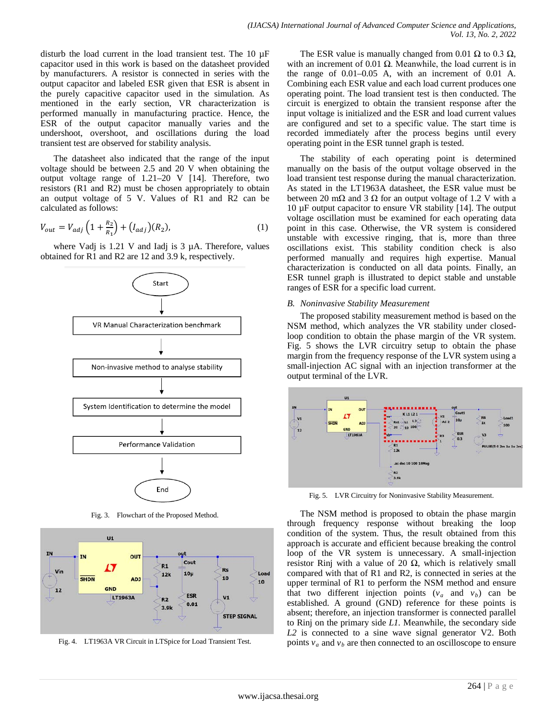disturb the load current in the load transient test. The 10 µF capacitor used in this work is based on the datasheet provided by manufacturers. A resistor is connected in series with the output capacitor and labeled ESR given that ESR is absent in the purely capacitive capacitor used in the simulation. As mentioned in the early section, VR characterization is performed manually in manufacturing practice. Hence, the ESR of the output capacitor manually varies and the undershoot, overshoot, and oscillations during the load transient test are observed for stability analysis.

The datasheet also indicated that the range of the input voltage should be between 2.5 and 20 V when obtaining the output voltage range of 1.21–20 V [14]. Therefore, two resistors (R1 and R2) must be chosen appropriately to obtain an output voltage of 5 V. Values of R1 and R2 can be calculated as follows:

$$
V_{out} = V_{adj} \left( 1 + \frac{R_2}{R_1} \right) + (I_{adj})(R_2),
$$
 (1)

where Vadj is  $1.21$  V and Iadj is  $3 \mu$ A. Therefore, values obtained for R1 and R2 are 12 and 3.9 k, respectively.



Fig. 3. Flowchart of the Proposed Method.



Fig. 4. LT1963A VR Circuit in LTSpice for Load Transient Test.

The ESR value is manually changed from 0.01  $\Omega$  to 0.3  $\Omega$ , with an increment of 0.01  $Ω$ . Meanwhile, the load current is in the range of 0.01–0.05 A, with an increment of 0.01 A. Combining each ESR value and each load current produces one operating point. The load transient test is then conducted. The circuit is energized to obtain the transient response after the input voltage is initialized and the ESR and load current values are configured and set to a specific value. The start time is recorded immediately after the process begins until every operating point in the ESR tunnel graph is tested.

The stability of each operating point is determined manually on the basis of the output voltage observed in the load transient test response during the manual characterization. As stated in the LT1963A datasheet, the ESR value must be between 20 mΩ and 3 Ω for an output voltage of 1.2 V with a 10 µF output capacitor to ensure VR stability [14]. The output voltage oscillation must be examined for each operating data point in this case. Otherwise, the VR system is considered unstable with excessive ringing, that is, more than three oscillations exist. This stability condition check is also performed manually and requires high expertise. Manual characterization is conducted on all data points. Finally, an ESR tunnel graph is illustrated to depict stable and unstable ranges of ESR for a specific load current.

#### *B. Noninvasive Stability Measurement*

The proposed stability measurement method is based on the NSM method, which analyzes the VR stability under closedloop condition to obtain the phase margin of the VR system. Fig. 5 shows the LVR circuitry setup to obtain the phase margin from the frequency response of the LVR system using a small-injection AC signal with an injection transformer at the output terminal of the LVR.



Fig. 5. LVR Circuitry for Noninvasive Stability Measurement.

The NSM method is proposed to obtain the phase margin through frequency response without breaking the loop condition of the system. Thus, the result obtained from this approach is accurate and efficient because breaking the control loop of the VR system is unnecessary. A small-injection resistor Rinj with a value of 20  $\Omega$ , which is relatively small compared with that of R1 and R2, is connected in series at the upper terminal of R1 to perform the NSM method and ensure that two different injection points  $(v_a$  and  $v_b)$  can be established. A ground (GND) reference for these points is absent; therefore, an injection transformer is connected parallel to Rinj on the primary side *L1.* Meanwhile, the secondary side *L2* is connected to a sine wave signal generator V2. Both points  $v_a$  and  $v_b$  are then connected to an oscilloscope to ensure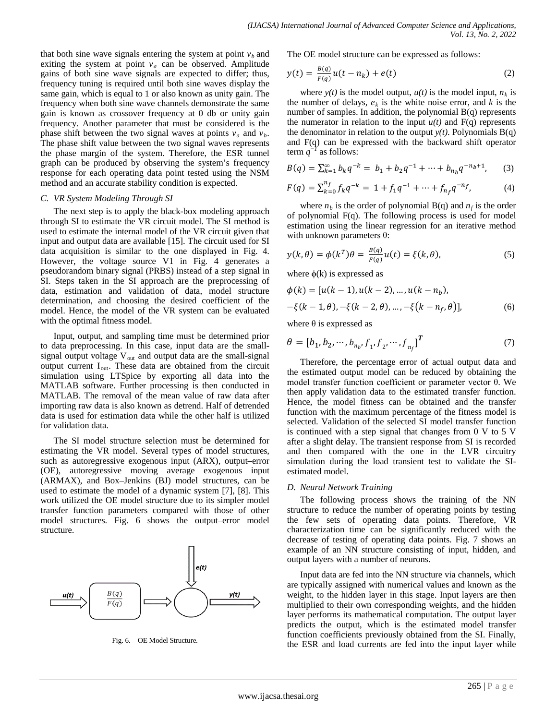that both sine wave signals entering the system at point  $v<sub>b</sub>$  and exiting the system at point  $v_a$  can be observed. Amplitude gains of both sine wave signals are expected to differ; thus, frequency tuning is required until both sine waves display the same gain, which is equal to 1 or also known as unity gain. The frequency when both sine wave channels demonstrate the same gain is known as crossover frequency at 0 db or unity gain frequency. Another parameter that must be considered is the phase shift between the two signal waves at points  $v_a$  and  $v_b$ . The phase shift value between the two signal waves represents the phase margin of the system. Therefore, the ESR tunnel graph can be produced by observing the system's frequency response for each operating data point tested using the NSM method and an accurate stability condition is expected.

#### *C. VR System Modeling Through SI*

The next step is to apply the black-box modeling approach through SI to estimate the VR circuit model. The SI method is used to estimate the internal model of the VR circuit given that input and output data are available [15]. The circuit used for SI data acquisition is similar to the one displayed in Fig. 4. However, the voltage source V1 in Fig. 4 generates a pseudorandom binary signal (PRBS) instead of a step signal in SI. Steps taken in the SI approach are the preprocessing of data, estimation and validation of data, model structure determination, and choosing the desired coefficient of the model. Hence, the model of the VR system can be evaluated with the optimal fitness model.

Input, output, and sampling time must be determined prior to data preprocessing. In this case, input data are the smallsignal output voltage  $V_{out}$  and output data are the small-signal output current  $I_{out}$ . These data are obtained from the circuit simulation using LTSpice by exporting all data into the MATLAB software. Further processing is then conducted in MATLAB. The removal of the mean value of raw data after importing raw data is also known as detrend. Half of detrended data is used for estimation data while the other half is utilized for validation data.

The SI model structure selection must be determined for estimating the VR model. Several types of model structures, such as autoregressive exogenous input (ARX), output–error (OE), autoregressive moving average exogenous input (ARMAX), and Box–Jenkins (BJ) model structures, can be used to estimate the model of a dynamic system [7], [8]. This work utilized the OE model structure due to its simpler model transfer function parameters compared with those of other model structures. Fig. 6 shows the output–error model structure.



Fig. 6. OE Model Structure.

The OE model structure can be expressed as follows:

$$
y(t) = \frac{B(q)}{F(q)}u(t - n_k) + e(t)
$$
 (2)

where  $y(t)$  is the model output,  $u(t)$  is the model input,  $n_k$  is the number of delays,  $e_k$  is the white noise error, and  $k$  is the number of samples. In addition, the polynomial B(q) represents the numerator in relation to the input  $u(t)$  and  $F(q)$  represents the denominator in relation to the output  $y(t)$ . Polynomials  $B(q)$ and F(q) can be expressed with the backward shift operator term *q<sup>−</sup><sup>1</sup>* as follows:

$$
B(q) = \sum_{k=1}^{\infty} b_k q^{-k} = b_1 + b_2 q^{-1} + \dots + b_{n_b} q^{-n_b+1}, \quad (3)
$$

$$
F(q) = \sum_{k=0}^{n_f} f_k q^{-k} = 1 + f_1 q^{-1} + \dots + f_{n_f} q^{-n_f},
$$
 (4)

where  $n_b$  is the order of polynomial  $B(q)$  and  $n_f$  is the order of polynomial F(q). The following process is used for model estimation using the linear regression for an iterative method with unknown parameters  $\theta$ :

$$
y(k,\theta) = \phi(k^T)\theta = \frac{B(q)}{F(q)}u(t) = \xi(k,\theta),
$$
\n(5)

where  $\phi(k)$  is expressed as

$$
\phi(k) = [u(k-1), u(k-2), ..., u(k-n_b),
$$
  

$$
-\xi(k-1, \theta), -\xi(k-2, \theta), ..., -\xi(k-n_f, \theta)],
$$
 (6)

where  $\theta$  is expressed as

$$
\theta = [b_1, b_2, \cdots, b_{n_b}, f_1, f_2, \cdots, f_{n_f}]^T
$$
\n(7)

Therefore, the percentage error of actual output data and the estimated output model can be reduced by obtaining the model transfer function coefficient or parameter vector θ. We then apply validation data to the estimated transfer function. Hence, the model fitness can be obtained and the transfer function with the maximum percentage of the fitness model is selected. Validation of the selected SI model transfer function is continued with a step signal that changes from 0 V to 5 V after a slight delay. The transient response from SI is recorded and then compared with the one in the LVR circuitry simulation during the load transient test to validate the SIestimated model.

#### *D. Neural Network Training*

The following process shows the training of the NN structure to reduce the number of operating points by testing the few sets of operating data points. Therefore, VR characterization time can be significantly reduced with the decrease of testing of operating data points. Fig. 7 shows an example of an NN structure consisting of input, hidden, and output layers with a number of neurons.

Input data are fed into the NN structure via channels, which are typically assigned with numerical values and known as the weight, to the hidden layer in this stage. Input layers are then multiplied to their own corresponding weights, and the hidden layer performs its mathematical computation. The output layer predicts the output, which is the estimated model transfer function coefficients previously obtained from the SI. Finally, the ESR and load currents are fed into the input layer while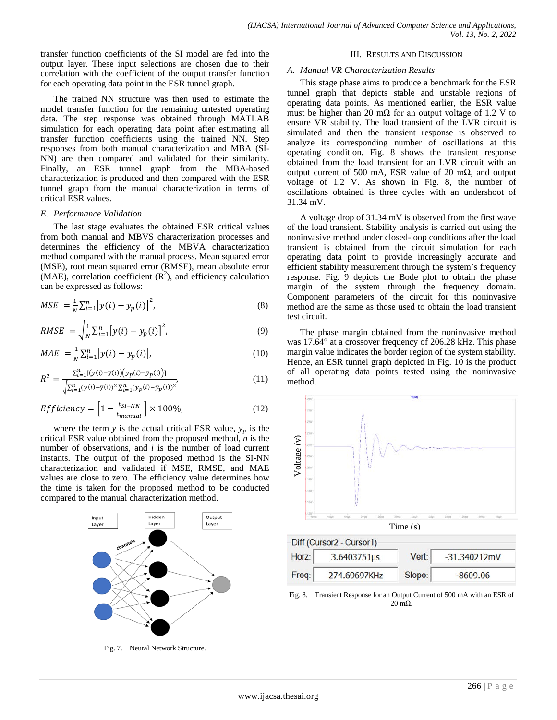transfer function coefficients of the SI model are fed into the output layer. These input selections are chosen due to their correlation with the coefficient of the output transfer function for each operating data point in the ESR tunnel graph.

The trained NN structure was then used to estimate the model transfer function for the remaining untested operating data. The step response was obtained through MATLAB simulation for each operating data point after estimating all transfer function coefficients using the trained NN. Step responses from both manual characterization and MBA (SI-NN) are then compared and validated for their similarity. Finally, an ESR tunnel graph from the MBA-based characterization is produced and then compared with the ESR tunnel graph from the manual characterization in terms of critical ESR values.

#### *E. Performance Validation*

The last stage evaluates the obtained ESR critical values from both manual and MBVS characterization processes and determines the efficiency of the MBVA characterization method compared with the manual process. Mean squared error (MSE), root mean squared error (RMSE), mean absolute error  $(MAE)$ , correlation coefficient  $(R<sup>2</sup>)$ , and efficiency calculation can be expressed as follows:

$$
MSE = \frac{1}{N} \sum_{i=1}^{n} [y(i) - y_p(i)]^2,
$$
\n(8)

$$
RMSE = \sqrt{\frac{1}{N} \sum_{i=1}^{n} [y(i) - y_p(i)]^2},
$$
\n(9)

$$
MAE = \frac{1}{N} \sum_{i=1}^{n} |y(i) - y_p(i)|,
$$
\n(10)

$$
R^{2} = \frac{\sum_{i=1}^{n} [(y(i) - \overline{y}(i)) (y_{p}(i) - \overline{y}_{p}(i))]}{\sqrt{\sum_{i=1}^{n} (y(i) - \overline{y}(i))^{2} \sum_{i=1}^{n} (y_{p}(i) - \overline{y}_{p}(i))^{2}}},
$$
\n(11)

$$
Efficiency = \left[1 - \frac{t_{SI-NN}}{t_{manual}}\right] \times 100\%,\tag{12}
$$

where the term  $y$  is the actual critical ESR value,  $y_p$  is the critical ESR value obtained from the proposed method, *n* is the number of observations, and *i* is the number of load current instants. The output of the proposed method is the SI-NN characterization and validated if MSE, RMSE, and MAE values are close to zero. The efficiency value determines how the time is taken for the proposed method to be conducted compared to the manual characterization method.



Fig. 7. Neural Network Structure.

#### III. RESULTS AND DISCUSSION

#### *A. Manual VR Characterization Results*

This stage phase aims to produce a benchmark for the ESR tunnel graph that depicts stable and unstable regions of operating data points. As mentioned earlier, the ESR value must be higher than 20 m $\Omega$  for an output voltage of 1.2 V to ensure VR stability. The load transient of the LVR circuit is simulated and then the transient response is observed to analyze its corresponding number of oscillations at this operating condition. Fig. 8 shows the transient response obtained from the load transient for an LVR circuit with an output current of 500 mA, ESR value of 20 mΩ, and output voltage of 1.2 V. As shown in Fig. 8, the number of oscillations obtained is three cycles with an undershoot of 31.34 mV.

A voltage drop of 31.34 mV is observed from the first wave of the load transient. Stability analysis is carried out using the noninvasive method under closed-loop conditions after the load transient is obtained from the circuit simulation for each operating data point to provide increasingly accurate and efficient stability measurement through the system's frequency response. Fig. 9 depicts the Bode plot to obtain the phase margin of the system through the frequency domain. Component parameters of the circuit for this noninvasive method are the same as those used to obtain the load transient test circuit.

The phase margin obtained from the noninvasive method was 17.64° at a crossover frequency of 206.28 kHz. This phase margin value indicates the border region of the system stability. Hence, an ESR tunnel graph depicted in Fig. 10 is the product of all operating data points tested using the noninvasive method.



|       | Diff (Cursor2 - Cursor1) |        |                |
|-------|--------------------------|--------|----------------|
| Horz: | 3.6403751µs              | Vert:  | $-31.340212mV$ |
| Freq: | 274.69697KHz             | Slope: | $-8609.06$     |

Fig. 8. Transient Response for an Output Current of 500 mA with an ESR of  $20 \text{ mA}$ .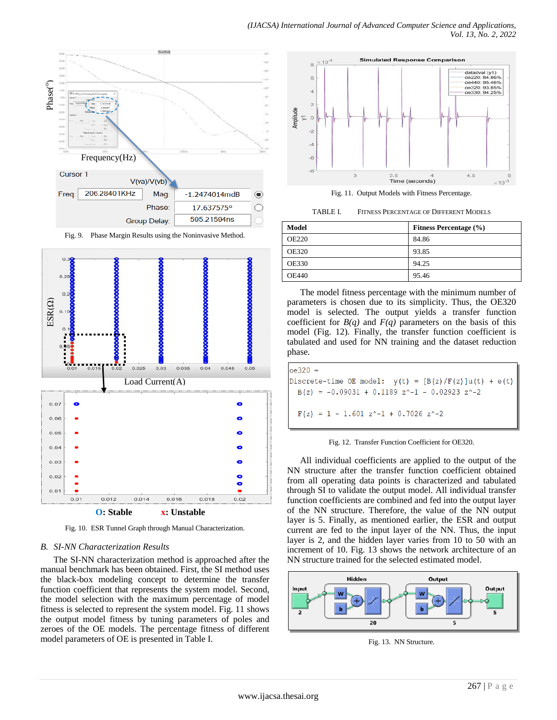

Fig. 9. Phase Margin Results using the Noninvasive Method.



Fig. 10. ESR Tunnel Graph through Manual Characterization.

## *B. SI-NN Characterization Results*

The SI-NN characterization method is approached after the manual benchmark has been obtained. First, the SI method uses the black-box modeling concept to determine the transfer function coefficient that represents the system model. Second, the model selection with the maximum percentage of model fitness is selected to represent the system model. Fig. 11 shows the output model fitness by tuning parameters of poles and zeroes of the OE models. The percentage fitness of different model parameters of OE is presented in Table I.



Fig. 11. Output Models with Fitness Percentage.

TABLE I. FITNESS PERCENTAGE OF DIFFERENT MODELS

| <b>Model</b> | <b>Fitness Percentage</b> (%) |
|--------------|-------------------------------|
| <b>OE220</b> | 84.86                         |
| <b>OE320</b> | 93.85                         |
| <b>OE330</b> | 94.25                         |
| <b>OE440</b> | 95.46                         |

The model fitness percentage with the minimum number of parameters is chosen due to its simplicity. Thus, the OE320 model is selected. The output yields a transfer function coefficient for  $B(q)$  and  $F(q)$  parameters on the basis of this model (Fig. 12). Finally, the transfer function coefficient is tabulated and used for NN training and the dataset reduction phase.

| $oe320 =$                                                     |  |
|---------------------------------------------------------------|--|
| Discrete-time OE model: $y(t) = [B(z)/F(z)]u(t) + e(t)$       |  |
| $B(z) = -0.09031 + 0.1189 z^2 - 1 - 0.02923 z^2 - 2$          |  |
| $F(z) = 1 - 1.601 z^{\text{-}} - 1 + 0.7026 z^{\text{-}} - 2$ |  |



All individual coefficients are applied to the output of the NN structure after the transfer function coefficient obtained from all operating data points is characterized and tabulated through SI to validate the output model. All individual transfer function coefficients are combined and fed into the output layer of the NN structure. Therefore, the value of the NN output layer is 5. Finally, as mentioned earlier, the ESR and output current are fed to the input layer of the NN. Thus, the input layer is 2, and the hidden layer varies from 10 to 50 with an increment of 10. Fig. 13 shows the network architecture of an NN structure trained for the selected estimated model.



Fig. 13. NN Structure.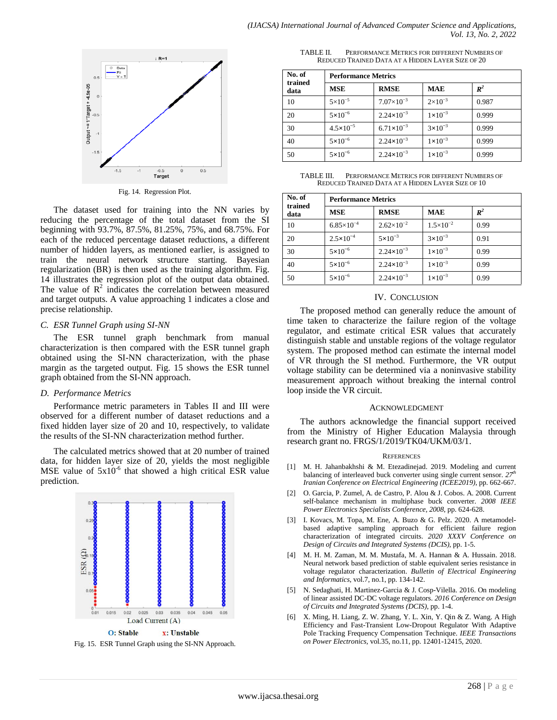

Fig. 14. Regression Plot.

The dataset used for training into the NN varies by reducing the percentage of the total dataset from the SI beginning with 93.7%, 87.5%, 81.25%, 75%, and 68.75%. For each of the reduced percentage dataset reductions, a different number of hidden layers, as mentioned earlier, is assigned to train the neural network structure starting. Bayesian regularization (BR) is then used as the training algorithm. Fig. 14 illustrates the regression plot of the output data obtained. The value of  $\mathbb{R}^2$  indicates the correlation between measured and target outputs. A value approaching 1 indicates a close and precise relationship.

#### *C. ESR Tunnel Graph using SI-NN*

The ESR tunnel graph benchmark from manual characterization is then compared with the ESR tunnel graph obtained using the SI-NN characterization, with the phase margin as the targeted output. Fig. 15 shows the ESR tunnel graph obtained from the SI-NN approach.

#### *D. Performance Metrics*

Performance metric parameters in Tables II and III were observed for a different number of dataset reductions and a fixed hidden layer size of 20 and 10, respectively, to validate the results of the SI-NN characterization method further.

The calculated metrics showed that at 20 number of trained data, for hidden layer size of 20, yields the most negligible MSE value of  $5x10^{-6}$  that showed a high critical ESR value prediction.



Fig. 15. ESR Tunnel Graph using the SI-NN Approach.

TABLE II. PERFORMANCE METRICS FOR DIFFERENT NUMBERS OF REDUCED TRAINED DATA AT A HIDDEN LAYER SIZE OF 20

| No. of          | <b>Performance Metrics</b> |                       |                    |                |
|-----------------|----------------------------|-----------------------|--------------------|----------------|
| trained<br>data | <b>MSE</b>                 | <b>RMSE</b>           | <b>MAE</b>         | $\mathbb{R}^2$ |
| 10              | $5 \times 10^{-5}$         | $7.07\times10^{-3}$   | $2 \times 10^{-3}$ | 0.987          |
| 20              | $5 \times 10^{-6}$         | $2.24 \times 10^{-3}$ | $1 \times 10^{-3}$ | 0.999          |
| 30              | $4.5 \times 10^{-5}$       | $6.71 \times 10^{-3}$ | $3 \times 10^{-3}$ | 0.999          |
| 40              | $5 \times 10^{-6}$         | $2.24 \times 10^{-3}$ | $1 \times 10^{-3}$ | 0.999          |
| 50              | $5 \times 10^{-6}$         | $2.24 \times 10^{-3}$ | $1 \times 10^{-3}$ | 0.999          |

TABLE III. PERFORMANCE METRICS FOR DIFFERENT NUMBERS OF REDUCED TRAINED DATA AT A HIDDEN LAYER SIZE OF 10

| No. of          | <b>Performance Metrics</b> |                       |                      |       |
|-----------------|----------------------------|-----------------------|----------------------|-------|
| trained<br>data | <b>MSE</b>                 | <b>RMSE</b>           | <b>MAE</b>           | $R^2$ |
| 10              | $6.85\times10^{-4}$        | $2.62\times10^{-2}$   | $1.5 \times 10^{-2}$ | 0.99  |
| 20              | $2.5 \times 10^{-4}$       | $5 \times 10^{-3}$    | $3 \times 10^{-3}$   | 0.91  |
| 30              | $5 \times 10^{-6}$         | $2.24 \times 10^{-3}$ | $1 \times 10^{-3}$   | 0.99  |
| 40              | $5 \times 10^{-6}$         | $2.24 \times 10^{-3}$ | $1 \times 10^{-3}$   | 0.99  |
| 50              | $5 \times 10^{-6}$         | $2.24 \times 10^{-3}$ | $1 \times 10^{-3}$   | 0.99  |

#### IV. CONCLUSION

The proposed method can generally reduce the amount of time taken to characterize the failure region of the voltage regulator, and estimate critical ESR values that accurately distinguish stable and unstable regions of the voltage regulator system. The proposed method can estimate the internal model of VR through the SI method. Furthermore, the VR output voltage stability can be determined via a noninvasive stability measurement approach without breaking the internal control loop inside the VR circuit.

#### ACKNOWLEDGMENT

The authors acknowledge the financial support received from the Ministry of Higher Education Malaysia through research grant no. FRGS/1/2019/TK04/UKM/03/1.

#### **REFERENCES**

- [1] M. H. Jahanbakhshi & M. Etezadinejad. 2019. Modeling and current balancing of interleaved buck converter using single current sensor. 27<sup>th</sup> *Iranian Conference on Electrical Engineering (ICEE2019)*, pp. 662-667.
- [2] O. Garcia, P. Zumel, A. de Castro, P. Alou & J. Cobos. A. 2008. Current self-balance mechanism in multiphase buck converter. *2008 IEEE Power Electronics Specialists Conference, 2008*, pp. 624-628.
- [3] I. Kovacs, M. Topa, M. Ene, A. Buzo & G. Pelz. 2020. A metamodelbased adaptive sampling approach for efficient failure region characterization of integrated circuits. *2020 XXXV Conference on Design of Circuits and Integrated Systems (DCIS)*, pp. 1-5.
- [4] M. H. M. Zaman, M. M. Mustafa, M. A. Hannan & A. Hussain. 2018. Neural network based prediction of stable equivalent series resistance in voltage regulator characterization. *Bulletin of Electrical Engineering and Informatics*, vol.7, no.1, pp. 134-142.
- [5] N. Sedaghati, H. Martinez-Garcia & J. Cosp-Vilella. 2016. On modeling of linear assisted DC-DC voltage regulators. *2016 Conference on Design of Circuits and Integrated Systems (DCIS)*, pp. 1-4.
- [6] X. Ming, H. Liang, Z. W. Zhang, Y. L. Xin, Y. Qin & Z. Wang. A High Efficiency and Fast-Transient Low-Dropout Regulator With Adaptive Pole Tracking Frequency Compensation Technique. *IEEE Transactions on Power Electronics,* vol.35, no.11, pp. 12401-12415, 2020.